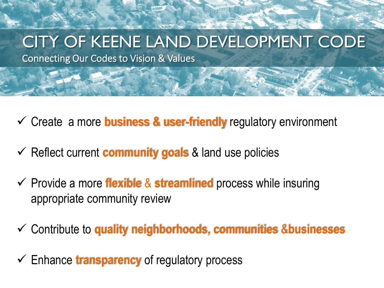### CITY OF KEENE LAND DEVELOPMENT CODE

Connecting Our Codes to Vision & Values

- Create a more **business & user-friendly** regulatory environment
- $\checkmark$  Reflect current **community goals** & land use policies
- Provide a more **flexible** & **streamlined** process while insuring appropriate community review
- Contribute to **quality neighborhoods, communities** &**businesses**
- Enhance **transparency** of regulatory process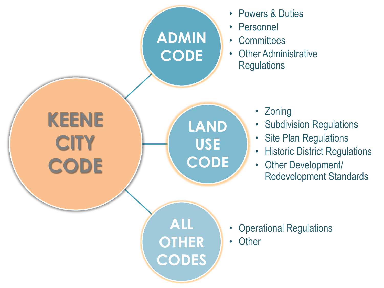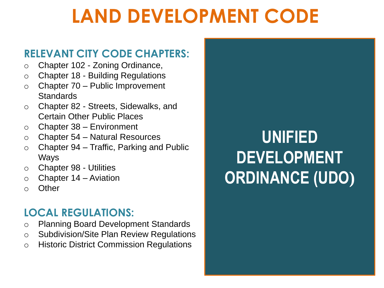# **LAND DEVELOPMENT CODE**

#### **RELEVANT CITY CODE CHAPTERS:**

- o Chapter 102 Zoning Ordinance,
- o Chapter 18 Building Regulations
- o Chapter 70 Public Improvement **Standards**
- o Chapter 82 Streets, Sidewalks, and Certain Other Public Places
- $\circ$  Chapter 38 Environment
- o Chapter 54 Natural Resources
- $\circ$  Chapter 94 Traffic, Parking and Public Ways
- o Chapter 98 Utilities
- $\circ$  Chapter 14 Aviation
- o Other

#### **LOCAL REGULATIONS:**

- o Planning Board Development Standards
- o Subdivision/Site Plan Review Regulations
- o Historic District Commission Regulations

### **UNIFIED DEVELOPMENT ORDINANCE (UDO)**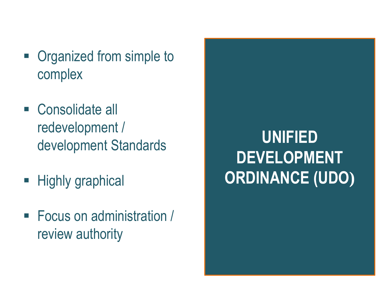- Organized from simple to complex
- Consolidate all redevelopment / development Standards
- **Highly graphical**
- Focus on administration / review authority

## **UNIFIED DEVELOPMENT ORDINANCE (UDO)**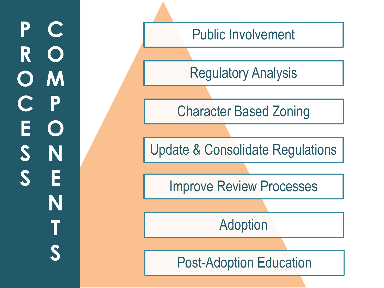#### **PCROOMCESS** PONE P Е  $\bigcup$ S N S E **NTS**

Public Involvement

Regulatory Analysis

Character Based Zoning

Update & Consolidate Regulations

Improve Review Processes

Adoption

Post -Adoption Education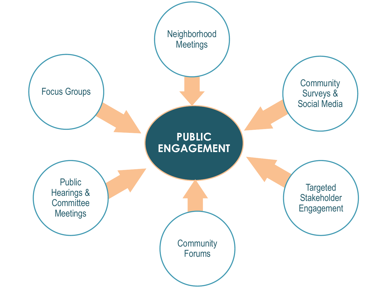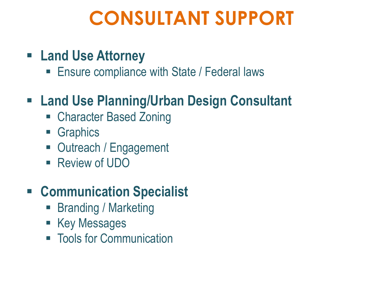# **CONSULTANT SUPPORT**

- **Land Use Attorney**
	- **Ensure compliance with State / Federal laws**

#### **Land Use Planning/Urban Design Consultant**

- Character Based Zoning
- **Graphics**
- Outreach / Engagement
- Review of UDO

#### **Communication Specialist**

- **Branding / Marketing**
- **Key Messages**
- **Tools for Communication**